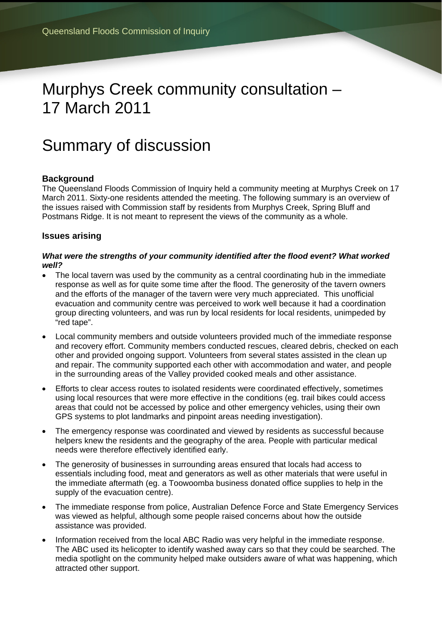# Murphys Creek community consultation – 17 March 2011

# Summary of discussion

## **Background**

The Queensland Floods Commission of Inquiry held a community meeting at Murphys Creek on 17 March 2011. Sixty-one residents attended the meeting. The following summary is an overview of the issues raised with Commission staff by residents from Murphys Creek, Spring Bluff and Postmans Ridge. It is not meant to represent the views of the community as a whole.

### **Issues arising**

#### *What were the strengths of your community identified after the flood event? What worked well?*

- The local tavern was used by the community as a central coordinating hub in the immediate response as well as for quite some time after the flood. The generosity of the tavern owners and the efforts of the manager of the tavern were very much appreciated. This unofficial evacuation and community centre was perceived to work well because it had a coordination group directing volunteers, and was run by local residents for local residents, unimpeded by "red tape".
- Local community members and outside volunteers provided much of the immediate response and recovery effort. Community members conducted rescues, cleared debris, checked on each other and provided ongoing support. Volunteers from several states assisted in the clean up and repair. The community supported each other with accommodation and water, and people in the surrounding areas of the Valley provided cooked meals and other assistance.
- Efforts to clear access routes to isolated residents were coordinated effectively, sometimes using local resources that were more effective in the conditions (eg. trail bikes could access areas that could not be accessed by police and other emergency vehicles, using their own GPS systems to plot landmarks and pinpoint areas needing investigation).
- The emergency response was coordinated and viewed by residents as successful because helpers knew the residents and the geography of the area. People with particular medical needs were therefore effectively identified early.
- The generosity of businesses in surrounding areas ensured that locals had access to essentials including food, meat and generators as well as other materials that were useful in the immediate aftermath (eg. a Toowoomba business donated office supplies to help in the supply of the evacuation centre).
- The immediate response from police, Australian Defence Force and State Emergency Services was viewed as helpful, although some people raised concerns about how the outside assistance was provided.
- Information received from the local ABC Radio was very helpful in the immediate response. The ABC used its helicopter to identify washed away cars so that they could be searched. The media spotlight on the community helped make outsiders aware of what was happening, which attracted other support.